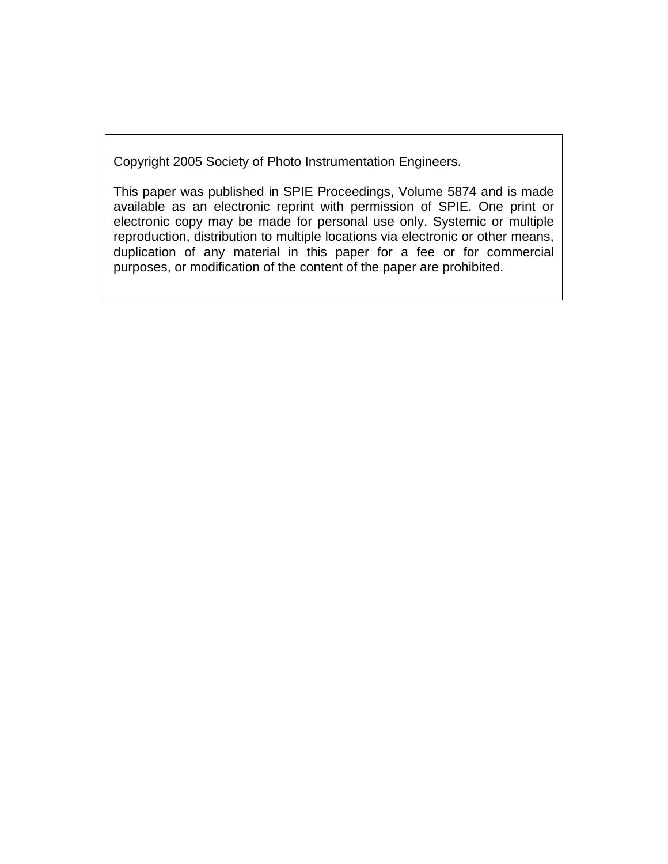Copyright 2005 Society of Photo Instrumentation Engineers.

This paper was published in SPIE Proceedings, Volume 5874 and is made available as an electronic reprint with permission of SPIE. One print or electronic copy may be made for personal use only. Systemic or multiple reproduction, distribution to multiple locations via electronic or other means, duplication of any material in this paper for a fee or for commercial purposes, or modification of the content of the paper are prohibited.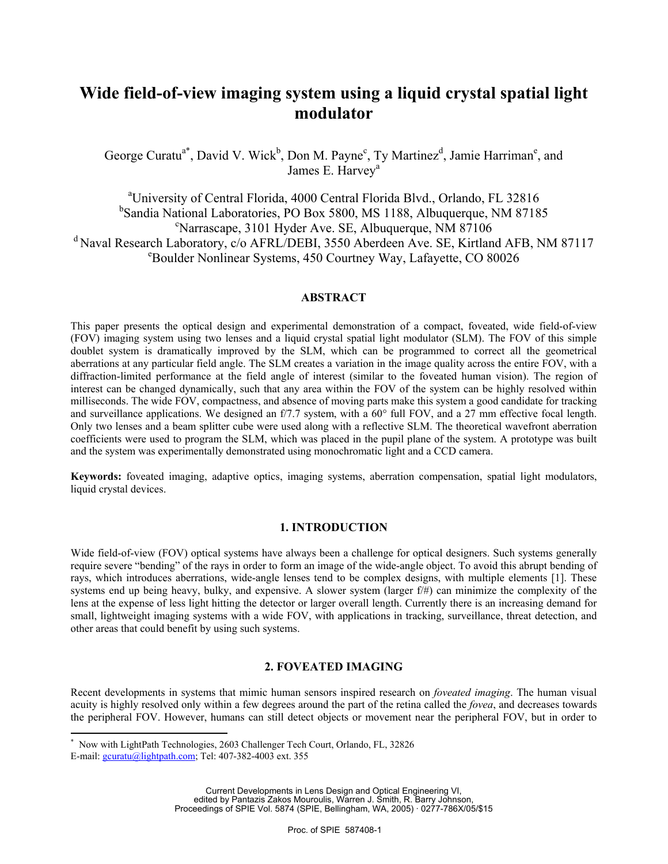# **Wide field-of-view imaging system using a liquid crystal spatial light modulator**

George Curatu<sup>a\*</sup>, David V. Wick<sup>b</sup>, Don M. Payne<sup>c</sup>, Ty Martinez<sup>d</sup>, Jamie Harriman<sup>e</sup>, and James E. Harvey<sup>a</sup>

<sup>a</sup> University of Central Florida, 4000 Central Florida Blvd., Orlando, FL 32816 <sup>b</sup>Sandia National Laboratories, PO Box 5800, MS 1188, Albuquerque, NM 87185 Narrascape, 3101 Hyder Ave. SE, Albuquerque, NM 87106 <sup>d</sup> Naval Research Laboratory, c/o AFRL/DEBI, 3550 Aberdeen Ave. SE, Kirtland AFB, NM 87117 Boulder Nonlinear Systems, 450 Courtney Way, Lafayette, CO 80026

#### **ABSTRACT**

This paper presents the optical design and experimental demonstration of a compact, foveated, wide field-of-view (FOV) imaging system using two lenses and a liquid crystal spatial light modulator (SLM). The FOV of this simple doublet system is dramatically improved by the SLM, which can be programmed to correct all the geometrical aberrations at any particular field angle. The SLM creates a variation in the image quality across the entire FOV, with a diffraction-limited performance at the field angle of interest (similar to the foveated human vision). The region of interest can be changed dynamically, such that any area within the FOV of the system can be highly resolved within milliseconds. The wide FOV, compactness, and absence of moving parts make this system a good candidate for tracking and surveillance applications. We designed an f/7.7 system, with a 60° full FOV, and a 27 mm effective focal length. Only two lenses and a beam splitter cube were used along with a reflective SLM. The theoretical wavefront aberration coefficients were used to program the SLM, which was placed in the pupil plane of the system. A prototype was built and the system was experimentally demonstrated using monochromatic light and a CCD camera.

**Keywords:** foveated imaging, adaptive optics, imaging systems, aberration compensation, spatial light modulators, liquid crystal devices.

# **1. INTRODUCTION**

Wide field-of-view (FOV) optical systems have always been a challenge for optical designers. Such systems generally require severe "bending" of the rays in order to form an image of the wide-angle object. To avoid this abrupt bending of rays, which introduces aberrations, wide-angle lenses tend to be complex designs, with multiple elements [1]. These systems end up being heavy, bulky, and expensive. A slower system (larger f/#) can minimize the complexity of the lens at the expense of less light hitting the detector or larger overall length. Currently there is an increasing demand for small, lightweight imaging systems with a wide FOV, with applications in tracking, surveillance, threat detection, and other areas that could benefit by using such systems.

# **2. FOVEATED IMAGING**

Recent developments in systems that mimic human sensors inspired research on *foveated imaging*. The human visual acuity is highly resolved only within a few degrees around the part of the retina called the *fovea*, and decreases towards the peripheral FOV. However, humans can still detect objects or movement near the peripheral FOV, but in order to

 $\overline{a}$ 

<sup>\*</sup> Now with LightPath Technologies, 2603 Challenger Tech Court, Orlando, FL, 32826

E-mail:  $gcuratu(a)$ lightpath.com; Tel: 407-382-4003 ext. 355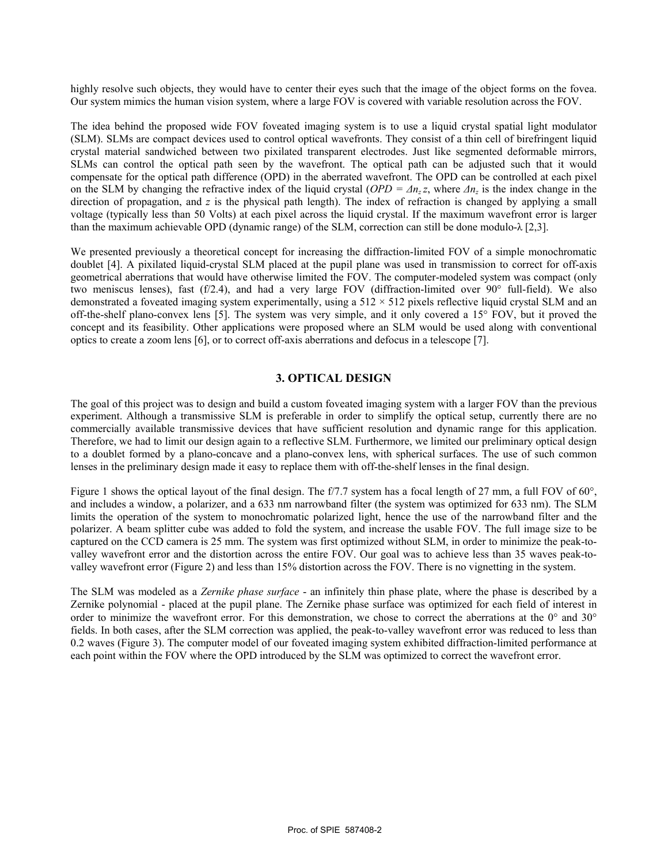highly resolve such objects, they would have to center their eyes such that the image of the object forms on the fovea. Our system mimics the human vision system, where a large FOV is covered with variable resolution across the FOV.

The idea behind the proposed wide FOV foveated imaging system is to use a liquid crystal spatial light modulator (SLM). SLMs are compact devices used to control optical wavefronts. They consist of a thin cell of birefringent liquid crystal material sandwiched between two pixilated transparent electrodes. Just like segmented deformable mirrors, SLMs can control the optical path seen by the wavefront. The optical path can be adjusted such that it would compensate for the optical path difference (OPD) in the aberrated wavefront. The OPD can be controlled at each pixel on the SLM by changing the refractive index of the liquid crystal ( $OPD = \Delta n_z z$ , where  $\Delta n_z$  is the index change in the direction of propagation, and *z* is the physical path length). The index of refraction is changed by applying a small voltage (typically less than 50 Volts) at each pixel across the liquid crystal. If the maximum wavefront error is larger than the maximum achievable OPD (dynamic range) of the SLM, correction can still be done modulo- $\lambda$  [2,3].

We presented previously a theoretical concept for increasing the diffraction-limited FOV of a simple monochromatic doublet [4]. A pixilated liquid-crystal SLM placed at the pupil plane was used in transmission to correct for off-axis geometrical aberrations that would have otherwise limited the FOV. The computer-modeled system was compact (only two meniscus lenses), fast (f/2.4), and had a very large FOV (diffraction-limited over 90° full-field). We also demonstrated a foveated imaging system experimentally, using a  $512 \times 512$  pixels reflective liquid crystal SLM and an off-the-shelf plano-convex lens [5]. The system was very simple, and it only covered a 15° FOV, but it proved the concept and its feasibility. Other applications were proposed where an SLM would be used along with conventional optics to create a zoom lens [6], or to correct off-axis aberrations and defocus in a telescope [7].

# **3. OPTICAL DESIGN**

The goal of this project was to design and build a custom foveated imaging system with a larger FOV than the previous experiment. Although a transmissive SLM is preferable in order to simplify the optical setup, currently there are no commercially available transmissive devices that have sufficient resolution and dynamic range for this application. Therefore, we had to limit our design again to a reflective SLM. Furthermore, we limited our preliminary optical design to a doublet formed by a plano-concave and a plano-convex lens, with spherical surfaces. The use of such common lenses in the preliminary design made it easy to replace them with off-the-shelf lenses in the final design.

Figure 1 shows the optical layout of the final design. The f/7.7 system has a focal length of 27 mm, a full FOV of 60°, and includes a window, a polarizer, and a 633 nm narrowband filter (the system was optimized for 633 nm). The SLM limits the operation of the system to monochromatic polarized light, hence the use of the narrowband filter and the polarizer. A beam splitter cube was added to fold the system, and increase the usable FOV. The full image size to be captured on the CCD camera is 25 mm. The system was first optimized without SLM, in order to minimize the peak-tovalley wavefront error and the distortion across the entire FOV. Our goal was to achieve less than 35 waves peak-tovalley wavefront error (Figure 2) and less than 15% distortion across the FOV. There is no vignetting in the system.

The SLM was modeled as a *Zernike phase surface* - an infinitely thin phase plate, where the phase is described by a Zernike polynomial - placed at the pupil plane. The Zernike phase surface was optimized for each field of interest in order to minimize the wavefront error. For this demonstration, we chose to correct the aberrations at the 0° and 30° fields. In both cases, after the SLM correction was applied, the peak-to-valley wavefront error was reduced to less than 0.2 waves (Figure 3). The computer model of our foveated imaging system exhibited diffraction-limited performance at each point within the FOV where the OPD introduced by the SLM was optimized to correct the wavefront error.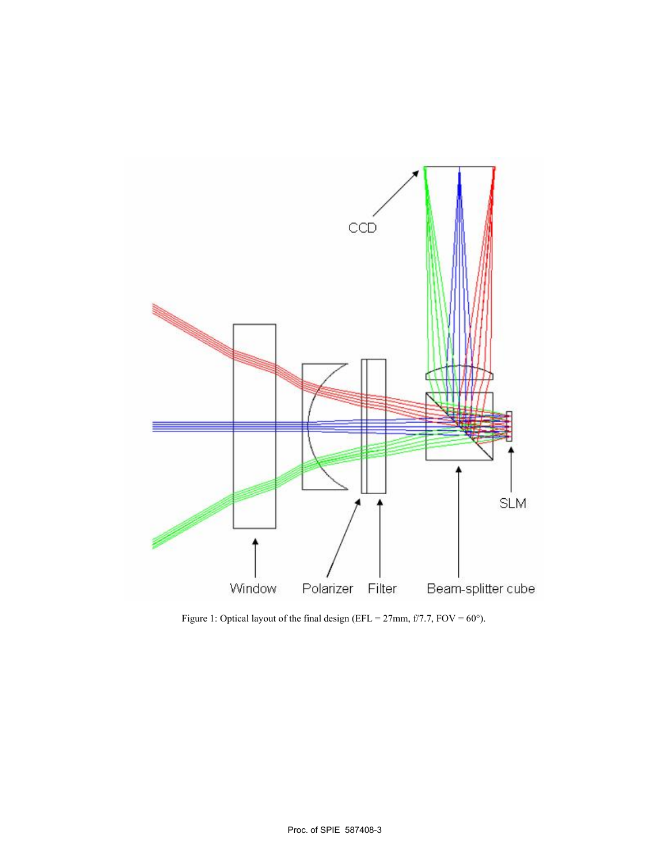

Figure 1: Optical layout of the final design (EFL =  $27 \text{mm}$ , f/7.7, FOV =  $60^{\circ}$ ).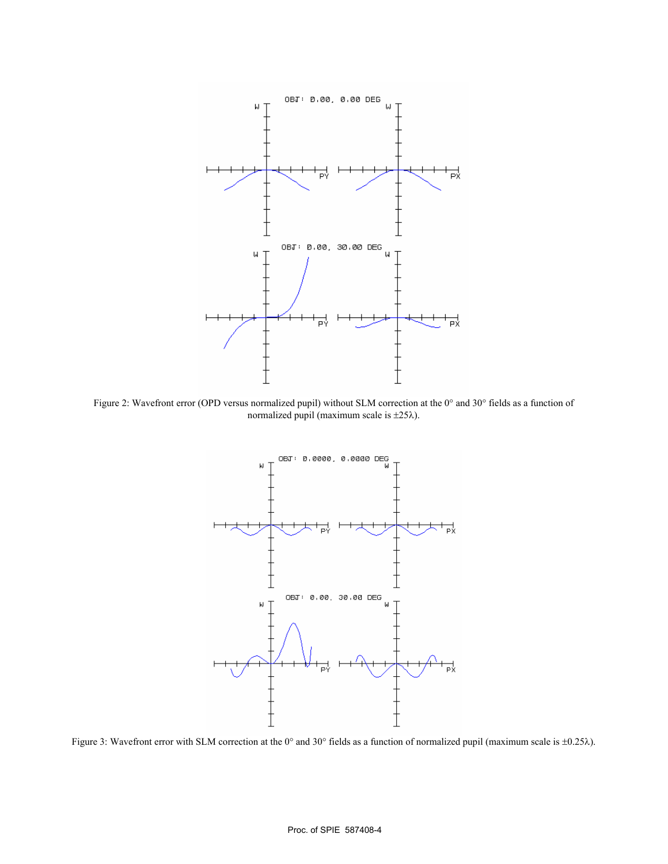

Figure 2: Wavefront error (OPD versus normalized pupil) without SLM correction at the 0° and 30° fields as a function of normalized pupil (maximum scale is ±25λ).



Figure 3: Wavefront error with SLM correction at the 0° and 30° fields as a function of normalized pupil (maximum scale is ±0.25λ).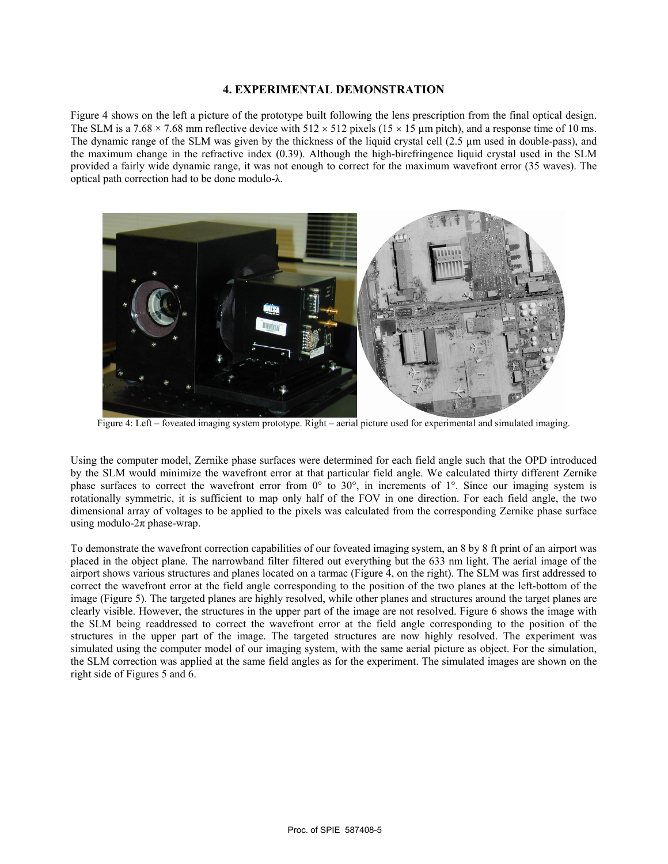## **4. EXPERIMENTAL DEMONSTRATION**

Figure 4 shows on the left a picture of the prototype built following the lens prescription from the final optical design. The SLM is a 7.68 × 7.68 mm reflective device with  $512 \times 512$  pixels ( $15 \times 15$  µm pitch), and a response time of 10 ms. The dynamic range of the SLM was given by the thickness of the liquid crystal cell (2.5 µm used in double-pass), and the maximum change in the refractive index (0.39). Although the high-birefringence liquid crystal used in the SLM provided a fairly wide dynamic range, it was not enough to correct for the maximum wavefront error (35 waves). The optical path correction had to be done modulo-λ.



Figure 4: Left – foveated imaging system prototype. Right – aerial picture used for experimental and simulated imaging.

Using the computer model, Zernike phase surfaces were determined for each field angle such that the OPD introduced by the SLM would minimize the wavefront error at that particular field angle. We calculated thirty different Zernike phase surfaces to correct the wavefront error from 0° to 30°, in increments of 1°. Since our imaging system is rotationally symmetric, it is sufficient to map only half of the FOV in one direction. For each field angle, the two dimensional array of voltages to be applied to the pixels was calculated from the corresponding Zernike phase surface using modulo- $2\pi$  phase-wrap.

To demonstrate the wavefront correction capabilities of our foveated imaging system, an 8 by 8 ft print of an airport was placed in the object plane. The narrowband filter filtered out everything but the 633 nm light. The aerial image of the airport shows various structures and planes located on a tarmac (Figure 4, on the right). The SLM was first addressed to correct the wavefront error at the field angle corresponding to the position of the two planes at the left-bottom of the image (Figure 5). The targeted planes are highly resolved, while other planes and structures around the target planes are clearly visible. However, the structures in the upper part of the image are not resolved. Figure 6 shows the image with the SLM being readdressed to correct the wavefront error at the field angle corresponding to the position of the structures in the upper part of the image. The targeted structures are now highly resolved. The experiment was simulated using the computer model of our imaging system, with the same aerial picture as object. For the simulation, the SLM correction was applied at the same field angles as for the experiment. The simulated images are shown on the right side of Figures 5 and 6.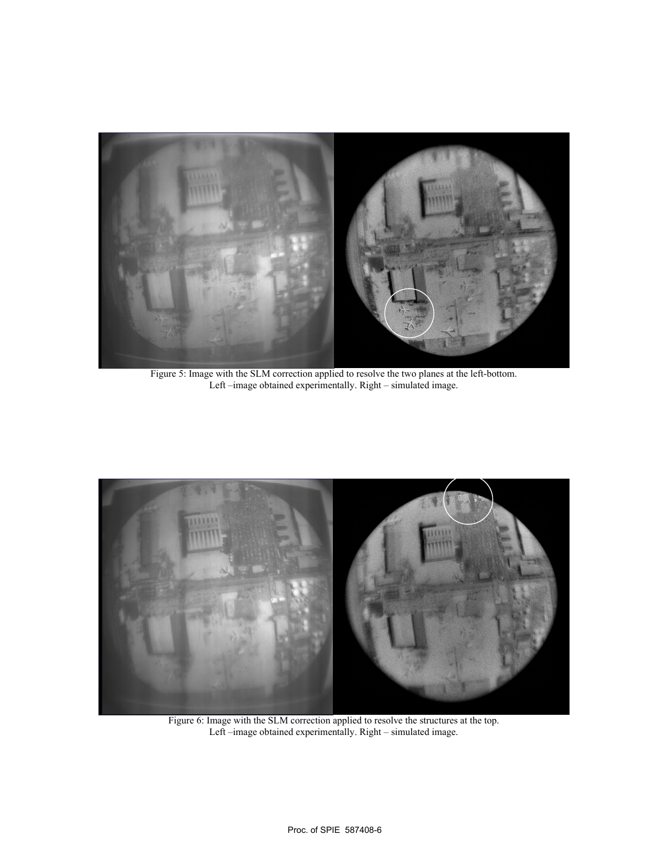

Figure 5: Image with the SLM correction applied to resolve the two planes at the left-bottom. Left –image obtained experimentally. Right – simulated image.



Figure 6: Image with the SLM correction applied to resolve the structures at the top. Left –image obtained experimentally. Right – simulated image.